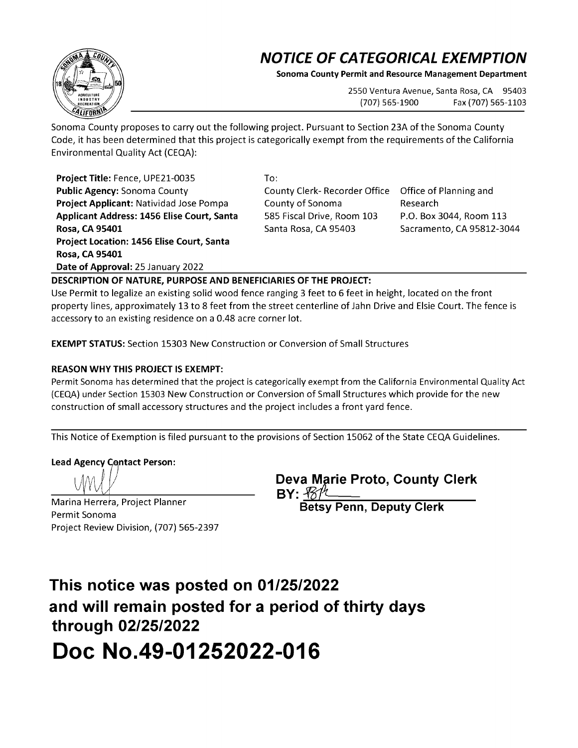## **NOTICE OF CATEGORICAL EXEMPTION**

**Sonoma County Permit and Resource Management Department** 

2550 Ventura Avenue, Santa Rosa, CA 95403 (707) 565-1900 Fax (707) 565-1103

Sonoma County proposes to carry out the following project. Pursuant to Section 23A of the Sonoma County Code, it has been determined that this project is categorically exempt from the requirements of the California Environmental Quality Act {CEQA):

**Project Title:** Fence, UPE21-0035 **Public Agency:** Sonoma County **Project Applicant:** Natividad Jose Pompa **Applicant Address: 1456 Elise Court, Santa Rosa, CA 95401 Project Location: 1456 Elise Court, Santa Rosa, CA 95401 Date of Approval:** 25 January 2022

To: County Clerk- Recorder Office County of Sonoma 585 Fiscal Drive, Room 103 Santa Rosa, CA 95403

Office of Planning and Research P.O. Box 3044, Room 113 Sacramento, CA 95812-3044

**DESCRIPTION OF NATURE, PURPOSE AND BENEFICIARIES OF THE PROJECT:** 

Use Permit to legalize an existing solid wood fence ranging 3 feet to 6 feet in height, located on the front property lines, approximately 13 to 8 feet from the street centerline of Jahn Drive and Elsie Court. The fence is accessory to an existing residence on a 0.48 acre corner lot.

**EXEMPT STATUS:** Section 15303 New Construction or Conversion of Small Structures

## **REASON WHY THIS PROJECT IS EXEMPT:**

Permit Sonoma has determined that the project is categorically exempt from the California Environmental Quality Act (CEQA) under Section 15303 New Construction or Conversion of Small Structures which provide for the new construction of small accessory structures and the project includes a front yard fence.

This Notice of Exemption is filed pursuant to the provisions of Section 15062 of the State CEQA Guidelines.

**Lead Agency Contact Person:** 

 $\dot{W}$ 

Marina Herrera, Project Planner Permit Sonoma Project Review Division, {707) 565-2397

**Deva Marie Proto, County Clerk BY:**  $\frac{B\%}{B}$ <br>Betsy Penn, Deputy Clerk

**This notice was posted on 01/25/2022 and will remain posted for a period of thirty days through 02/25/2022 Doc No.49-01252022-016**